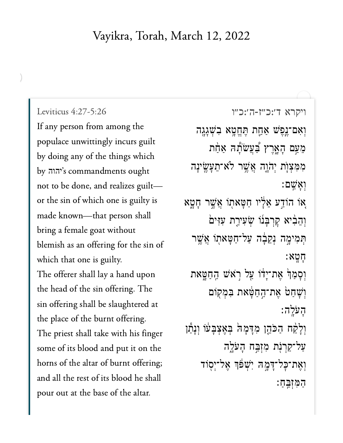## Vayikra, Torah, March 12, 2022

Leviticus 4:27-5:26 If any person from among the populace unwittingly incurs guilt by doing any of the things which by הוה's commandments ought not to be done, and realizes guiltor the sin of which one is guilty is made known-that person shall bring a female goat without blemish as an offering for the sin of which that one is guilty. The offerer shall lay a hand upon the head of the sin offering. The sin offering shall be slaughtered at the place of the burnt offering. The priest shall take with his finger some of its blood and put it on the horns of the altar of burnt offering; and all the rest of its blood he shall pour out at the base of the altar.

ויקרא ד׳:כ״ז-ה׳:כ״ו וְאִם־נֶפֶּשׁ אַחֲת תֶּחֱטָא בִשְׁגָגֶה מֵעַם הָאֶרֶץ בְּעֲשֹׂתָה אַחַת מִמְצִוָּת יְהֹוֶה אֲשֶׁר לֹא־תֵעֲשֵׂינָה ואשם: אָו הוֹדַע אֵלָיו חַטָּאתוֹ אֲשֶׁר חָטָא וְהֵבִ֫יא קִרְבְּנוֹ שְׂעִירַת עִזִּים תִּמִימֶה נְקֵבָה עַל־חַטָּאתֻוֹ אֲשֶׁר חטא: וְסְמַךֹּ אֶת־יְדֹו עַל רָאֹשׁ הַחַטֳאת וִשָּׁחַטֹ אֵת־הַחַטָּאת בִּמְקוֹם העלה: וְלָקַٰח הַכֹּהֶן מִדְּמָה בְאֶצְבָעוֹ וְנְתַ֫ו עַל־קַרִנִּת מְזְבֵה הַעֹּלֵה וְאֵת־כָּל־דָּמֶה יְשָׁפּֿךְ אֱל־יִסְוֹד

המוּבֵח: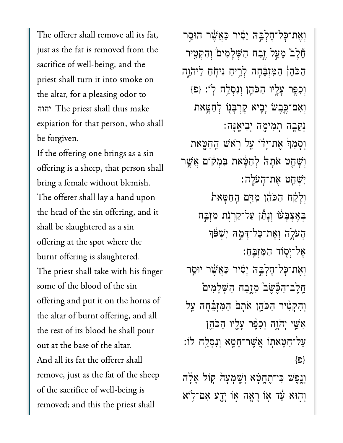The offerer shall remove all its fat, just as the fat is removed from the sacrifice of well-being; and the priest shall turn it into smoke on the altar, for a pleasing odor to . The priest shall thus make יהוה expiation for that person, who shall be forgiven.

If the offering one brings as a sin offering is a sheep, that person shall bring a female without blemish. The offerer shall lay a hand upon the head of the sin offering, and it shall be slaughtered as a sin offering at the spot where the burnt offering is slaughtered. The priest shall take with his finger some of the blood of the sin offering and put it on the horns of the altar of burnt offering, and all the rest of its blood he shall pour out at the base of the altar. And all its fat the offerer shall remove, just as the fat of the sheep of the sacrifice of well-being is removed; and this the priest shall

וְאֶת־כָּל־חֶלְבֶּהּ יָסִיר כַּאֲשֶׁר הוּסֵר ֵ֘חֶל֮ב ֵמַ֣על ֶ֣זַבח ַהְּׁשָלִמי֒ם ְוִהְקִ֤טיר הַכֹּהֵן הַמְזְבֵּ֫חָה לְרֵיחַ נִיחְחַ לַיהֹוֶה וְכִפֵּ֣ר עָלֵיו הַכֹּהֵן וְנִסְלַח לְוֹ: {פ<sub>ּ</sub>} וְאִם־כֵּבֵשׁ יָבִיא קַרְבָּנִוּ לְחַטָּאת ְנֵקָ֥בה ְתִמיָ֖מה ְיִביֶֽאָּנה׃ וְסַמַן ּאֶת־יַדֹו עַל רְאֹשׁ הַחָטֵאת וְשָׁחֲט אֹתָה לְחַפִּ֫את בִּמְקוֹם אֲשֵׁר ִיְׁשַ֖חט ֶאת־ָהֹעָֽלה׃ וְלָקַׁח הַכֹּהֶן מְדַּם הַחַטָּאת ּבְאֵצְבָעֹו וְנָתַן עַל־קַרִנְת מְזָבֵח ָהָעֹלֶה וְאֵת־כָּל־דָּמֶה יִשְׁפּֿך ֶאל־ְי֖סֹוד ַהִּמְזֵּֽבַח׃ וְאֶת־כָּל־חֶלְבֵּה יַסִ֫יר כַּאֲשֶׁר יוּסֵר חֱלֶב־הַבֶּשֶׁב מְיֵּבַח הַשָּׁלַמִים וְהִקִטִּיר הַכֹּהֵן אֹתָם הַמִּזְבֵּחָה עַל ֹאָ*ּׁשֵׁי יְהֹוֵה* וְכָפֶּר עַלֵיו הַכֹּהֵן ַעַל־חַטָּאתְוֹ אֲשֶׁר־הָטָא וְנִסְלֵח לְוֹ: }פ{ וְנֵפִּשׁ כֵּי־תֶחֱטָׁא וְשָׁמְעָה קִוֹּל אָלָה וְהִוּא עֵד אָו רַאֲה אָו יָדֵע אָם־לְוֹא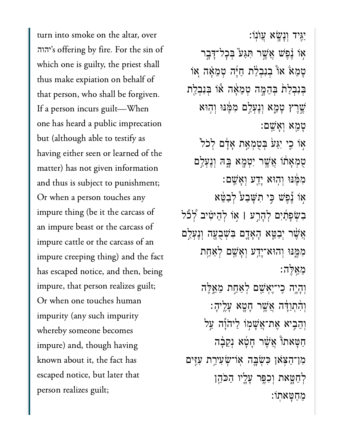turn into smoke on the altar, over יהוה's offering by fire. For the sin of which one is guilty, the priest shall thus make expiation on behalf of that person, who shall be forgiven. If a person incurs guilt—When one has heard a public imprecation but (although able to testify as having either seen or learned of the matter) has not given information and thus is subject to punishment; Or when a person touches any impure thing (be it the carcass of an impure beast or the carcass of impure cattle or the carcass of an impure creeping thing) and the fact has escaped notice, and then, being impure, that person realizes guilt; Or when one touches human impurity (any such impurity whereby someone becomes impure) and, though having known about it, the fact has escaped notice, but later that person realizes guilt;

ַיִּ֖גיד ְוָנָׂ֥שא ֲעֺוֽנֹו׃ ֹאִוֹ וָ֫כָּשׁ אֲשֶׁר תְּגַּע ּבְּכָל־דַּבֵר ָטָמֵאֹ אוֹ בִנְבְלַת חַיָּה טְמֵאָה אִוֹ בְּנִבְלַת בְּהֵמֶה טָמֵאָה אוֹ בִּנְבָלַת ְשֵׁרֵץ טָמֶא וְנֵעָלֵם מְמֵּׁנּוּ וְהִוּא ָטֵ֖מא ְוָאֵֽׁשם׃ אִוֹ כִי יִ**ּגַע** בְטָמְאַת אָדָם לְכֹל ּטְמְאָתׁוֹ אֲשֶׁר יְטָמֶא בָּהּ וְנֵעָלַם ִמֶּ֔מּנּו ְו֥הּוא ָיַ֖דע ְוָאֵֽׁשם׃ אוֹ נֵפָּשׁ כֵּי תִ**שָּׁבַע** לְּבַטֵּא ִבְׂשָפַ֜תִים ְלָהַ֣רע **׀** ֣אֹו ְלֵהיִ֗טיב ְ֠לֹ֠כל אֲשֶׁר יִבְטֵּא הָאָדֶם בִּשְׁבָעָה וְנֵעָלֵם מִמֵּנּוּ וְהוּא־יָדֵע וְאָ*ֹ*שֵׁם לְאַחָת ֵמֵֽאֶּלה׃ ְוָהָ֥יה ִֽכי־ֶיְאַׁ֖שם ְלַאַ֣חת ֵמֵ֑אֶּלה וְהִתְוַדָּה אֲשֶׁר חָטָא עָלֵיהָ: וְהֶבִיא אֶת־אֲשָׁמְוֹ לַיהֹוַה עַל ַחֲטָאתוֹ אֲשֶׁר חָטָא וְקֵבָה ִמן־ַה ֹּ֥צאן ִּכְׂשָּ֛בה ֽאֹו־ְׂשִעיַ֥רת ִעִּ֖זים ַלְחַטֵּאת וְכְפֵּ֣ר עַלֵיו הַכֹּהֵן

ֵמַחָּטאֽתֹו׃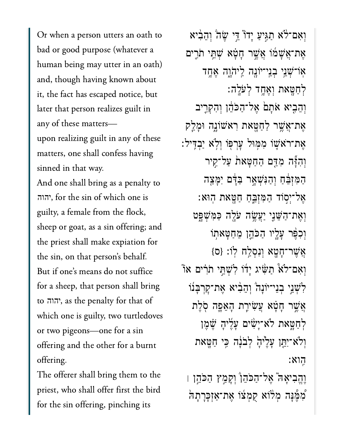Or when a person utters an oath to bad or good purpose (whatever a human being may utter in an oath) and, though having known about it, the fact has escaped notice, but later that person realizes guilt in any of these matters upon realizing guilt in any of these matters, one shall confess having sinned in that way.

And one shall bring as a penalty to , for the sin of which one is יהוה guilty, a female from the flock, sheep or goat, as a sin offering; and the priest shall make expiation for the sin, on that person's behalf. But if one's means do not suffice for a sheep, that person shall bring to יהוה, as the penalty for that of which one is guilty, two turtledoves or two pigeons—one for a sin offering and the other for a burnt offering.

The offerer shall bring them to the priest, who shall offer first the bird for the sin offering, pinching its

וְאִם־לֹא תַגִּיעַ יָדוֹ דֵּי שֵׂהֹ וְהֵבְ֫יא ָאֶת־אֲשָׁמֹו אֲשֶׁר חָטָא שָׁתֵּי תֹרֵים אָוֹ־שָׁנֵי בְנֵי־יֹוֹנֵה לֵיהֹוֵה אֵחֵד ְלַחָּ֖טאת ְוֶאָ֥חד ְלֹעָֽלה׃ וְהֵבִיא אֹתָם אֱל־הַכֹּהֶן וְהִקְרֵיב אֶת־אֲשֶׁר לַחַטָּאת רִא<sup>ָּ</sup>שׁוֹנֵה וּמַלַק ֶאת־ֹראׁ֛שֹו ִמּ֥מּול ׇעְרּ֖פֹו ְוֹ֥לא ַיְבִּֽדיל׃ וְהִיָּה מְדֵם הַחַטָּאת עַל־קֵיר ַהַמְּזִּבֵּ֫חַ וְהַנִּּשָׁאָר בַּדָּם יִמָּצֵה ָאָל־יִסְוֹד הַמִּזְבֵּחַ חַטָּאת הִוּא: וְאֶת־הַשֶּׁנֵי יַעֲשֶׂה עֹלֶה כַּמְּשָׁפֵָּט וְכִפֶּּר עָלֶיו הַכֹּהֵן מֵחַטָּאתְוֹ ְאֲשֶׁר־חָטָא וְנִסְלַח לְוֹ: {ס} וְאָם־לֹא תַּשִּׂיג יָדוֹ לְשָׁתֵּי תֹרִים אוֹ ַלְשָׁנֵי ִבְנֵי־יוֹנָהֹ וְהֵבְוֹא אֶת־קָרְבָּנוֹ אֲשֶׁר חָטָא וַעַּשִׂירֶת הָאֲפֶה סְׂלֵת ֹלְחַטֵּאת לֹא־יָשָׂיִם עַלֵיהָ שֵׁמֶן וִלֹא־יִתֵּן עָלֵ<sup>י</sup>ּהָׂ לְבֹנָה בְּי חַטֶּאת ִֽהוא׃ וֶהֵבִיאָה ׁאֵל־הַכֹּהֵן וְקָמַץ הַכֹּהֵן ו ُמְמֵּ֫נָּה מְלֹוֹא קֻמְצוֹ אֶת־אַזְּכָּרָתָה<sup>ְי</sup>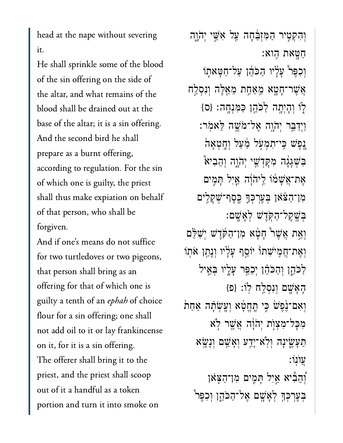head at the nape without severing it.

He shall sprinkle some of the blood of the sin offering on the side of the altar, and what remains of the blood shall be drained out at the base of the altar; it is a sin offering. And the second bird he shall prepare as a burnt offering, according to regulation. For the sin of which one is guilty, the priest shall thus make expiation on behalf of that person, who shall be forgiven.

And if one's means do not suffice for two turtledoves or two pigeons, that person shall bring as an offering for that of which one is guilty a tenth of an ephah of choice flour for a sin offering; one shall not add oil to it or lay frankincense on it, for it is a sin offering. The offerer shall bring it to the priest, and the priest shall scoop out of it a handful as a token portion and turn it into smoke on

וְהִקְטִיר הַמִּזְבֵּ֫חָה עַל אָּשֵׁי יִהֹוֵה ַחָּ֖טאת ִֽהוא׃ וְכִפֵּר עָלָיו הַכֹּהֵן עַל־חַטָּאתְוֹ ְאֲשֶׁר־חָטֳָא מֵאַחַת מֵאֵלֶּה וְנִסְלַח ַלְוֹ וְהָיְתָה לַכֹּהֵן כַּמְּנְחֶה: {ס} ַוְיִדַּבֵּר יְהֹוֶה אֱל־מֹּשֶׁה לֵאמִר: ֶ֚נֶפׁש ִּֽכי־ִתְמֹ֣על ַ֔מַעל ְוָֽחְטָא֙ה בְּשָׁגָּגָה מִקְדָשֵׁי יְהֹוָה וְהֵבִיאْ אֶת־אֲשָׁמֹוֹ לֵיהֹוָה אַיִל תָּמִים ִמן־ַה ֹּ֗צאן ְּבֶעְרְּכָ֛ך ֶּֽכֶסף־ְׁשָקִ֥לים ְּבֶֽׁשֶקל־ַהֹּ֖קֶדׁש ְלָאָֽׁשם׃ וְאֵת אֲשֵׁר ּחָטָא מְן־הַקְּדָשׁ יִשַׁלֵּם וְאֶת־חֲמִיֹּשָׁתוֹ יוֹסֵף עַלָּיו וְנָתַן אֹתִו ַלַּכֹּהֶן וְהַכֹּהֶן יְכַפֵּ֣ר עָֽלְיו בְּאֵיל ָהָאָׁ֖שם ְוִנְסַ֥לח ֽלֹו׃ }פ{ וְאִם־וֶּׂפֶשׁ כִּי תֱחֵטָּׁא וְעֲשָׂתָה אַחַת מִכַּל־מְצִוְֹת יְהֹוָּה אֲשֶׁר לְא ָתֵעְשֶׂינָה וְלְא<sup>-</sup>יָדֵע וְאָֹשֵׁם וְנָשֶׂא ֿעוֹנוֹ: ֿוְהֵבִۢיא אַיִל תַּמֵים מִן־הַצָּאון ּבְעֶרְכְּךָּ לְא្ָשֶׁם אֶל־הַכֹּהֶן וִכְפֵּר ۚ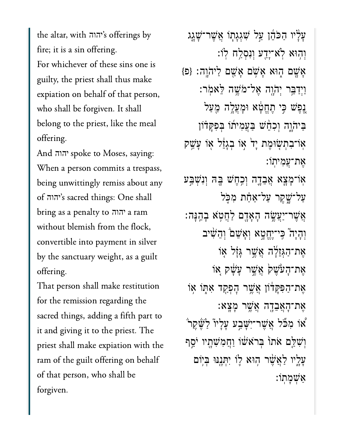the altar, with יהוה's offerings by fire; it is a sin offering. For whichever of these sins one is guilty, the priest shall thus make expiation on behalf of that person, who shall be forgiven. It shall belong to the priest, like the meal offering.

And יהוה spoke to Moses, saying: When a person commits a trespass, being unwittingly remiss about any of יהוה's sacred things: One shall bring as a penalty to יהוה a ram without blemish from the flock, convertible into payment in silver by the sanctuary weight, as a guilt offering.

That person shall make restitution for the remission regarding the sacred things, adding a fifth part to it and giving it to the priest. The priest shall make expiation with the ram of the guilt offering on behalf of that person, who shall be forgiven.

ַעֲלֵיו הַכֹּהֶן עֲל שָׁגְגָתְוֹ אֲשֶׁר־שָׁגֵג ְו֥הּוא ֹֽלא־ָיַ֖דע ְוִנְסַ֥לח ֽלֹו׃  ${p}$ ָאָשֶׁם הָוֹא אָשָׁם אֲשָׁם לַיהוָה: {פ ַוְיִדַּבֵּ֖ר יְהֹוֶה אֱל־מֹּשֶׁה לֵאמִֽר: ֶנֶפֶּשׁ כִּי תֶחֱטָׂא וּמַעֲלֵה מֵעַל ַבַּיהֹוָה וְכָהֵׂשׁ בַּעֲמִיתוֹ בִּפְקָדֹון אוֹ־בְתְעִוּמֶת יָד אִו בְגָזֶל אִו עַ*ּשֲ*ק ָאת־עֲמיתו: ֽאֹו־ָמָ֧צא ֲאֵבָ֛דה ְוִ֥כֶחׁש ָּ֖בּה ְוִנְׁשַּ֣בע ַעֲל־שֵׁקֵר עַל־אַחָת מִכְּל ָאֲשֶׁר־יַעֲשֶׂה הָאָדָם לַחֲטְא ּבָהֵנָּה: ְוָהָי֮ה ִּֽכי־ֶיֱחָ֣טא ְוָאֵׁש֒ם ְוֵהִׁ֨שיב אֶת־הַגְּזֶלָה אֲשֶׁר גַּזָּל אָוֹ אַת־הָעֹּשֵׁקׂ אֲשֶׁר עָשָׂק אָוֹ ָאֶת־הַפְּקַדֹוֹן אֲשֶׁר הַפְקֵד אִתְּוֹ אִוֹ ֶאת־ָהֲאֵבָ֖דה ֲאֶׁ֥שר ָמָֽצא׃ ו מִכَّל אֵ*ּשֶׁר־יִ*ּשָׁבֵע עַלַיוֹ לַשֶּׁקֵרֹ $\ddot{a}$ וְשָׁלֵם אֹתוֹ בִּרֹא<sup>ָּ</sup>שׁׁו וַחֲמִשְׁתָ<sup>וּ</sup>ו יֹסֵף ַעֲלֵיו לַאֲשֶׁר הָוּא לְוֹ יִתְּנֵנּוּ בִּיִּוֹם ַאְׁשָמֽתֹו׃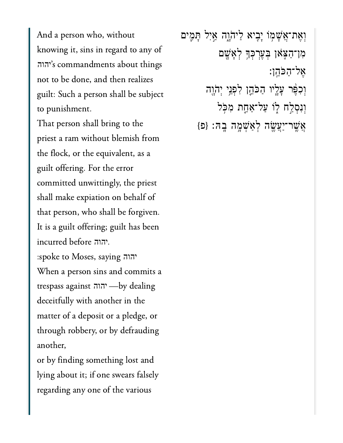And a person who, without knowing it, sins in regard to any of 'הוה's commandments about things not to be done, and then realizes guilt: Such a person shall be subject to punishment.

That person shall bring to the priest a ram without blemish from the flock, or the equivalent, as a guilt offering. For the error committed unwittingly, the priest shall make expiation on behalf of that person, who shall be forgiven. It is a guilt offering; guilt has been incurred before יהוה.

:spoke to Moses, saying יהוה When a person sins and commits a trespass against יהוה -by dealing deceitfully with another in the matter of a deposit or a pledge, or through robbery, or by defrauding another,

or by finding something lost and lying about it; if one swears falsely regarding any one of the various

וְאֶת־אֲשָׁמְוֹ יְבָיא לַיהֹוֶה אַיִל תְּמֶים מִוְ־הַצָּאוֹ בְּעֶרְכְּךָּ לְאָשֶׁם אֶל־הַכּהֵן: וְכִפֶּר עָלֶיו הַכֹּהֶן לִפְגַי יְהֹוֶה וְנִסְלֵח לְוֹ עַל־אַחֲת מִכְּל אֲשֶׁר־יַעֲשֶׂה לְאַשְׁמֶה בְהּ: {פּ